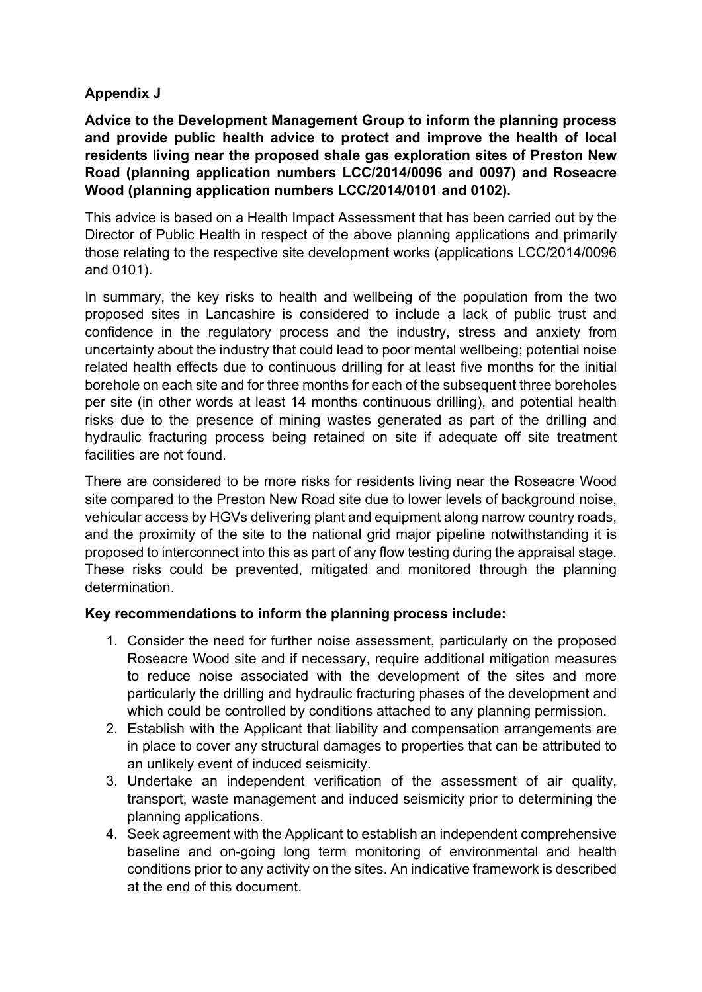### **Appendix J**

**Advice to the Development Management Group to inform the planning process and provide public health advice to protect and improve the health of local residents living near the proposed shale gas exploration sites of Preston New Road (planning application numbers LCC/2014/0096 and 0097) and Roseacre Wood (planning application numbers LCC/2014/0101 and 0102).**

This advice is based on a Health Impact Assessment that has been carried out by the Director of Public Health in respect of the above planning applications and primarily those relating to the respective site development works (applications LCC/2014/0096 and 0101).

In summary, the key risks to health and wellbeing of the population from the two proposed sites in Lancashire is considered to include a lack of public trust and confidence in the regulatory process and the industry, stress and anxiety from uncertainty about the industry that could lead to poor mental wellbeing; potential noise related health effects due to continuous drilling for at least five months for the initial borehole on each site and for three months for each of the subsequent three boreholes per site (in other words at least 14 months continuous drilling), and potential health risks due to the presence of mining wastes generated as part of the drilling and hydraulic fracturing process being retained on site if adequate off site treatment facilities are not found.

There are considered to be more risks for residents living near the Roseacre Wood site compared to the Preston New Road site due to lower levels of background noise, vehicular access by HGVs delivering plant and equipment along narrow country roads, and the proximity of the site to the national grid major pipeline notwithstanding it is proposed to interconnect into this as part of any flow testing during the appraisal stage. These risks could be prevented, mitigated and monitored through the planning determination.

#### **Key recommendations to inform the planning process include:**

- 1. Consider the need for further noise assessment, particularly on the proposed Roseacre Wood site and if necessary, require additional mitigation measures to reduce noise associated with the development of the sites and more particularly the drilling and hydraulic fracturing phases of the development and which could be controlled by conditions attached to any planning permission.
- 2. Establish with the Applicant that liability and compensation arrangements are in place to cover any structural damages to properties that can be attributed to an unlikely event of induced seismicity.
- 3. Undertake an independent verification of the assessment of air quality, transport, waste management and induced seismicity prior to determining the planning applications.
- 4. Seek agreement with the Applicant to establish an independent comprehensive baseline and on-going long term monitoring of environmental and health conditions prior to any activity on the sites. An indicative framework is described at the end of this document.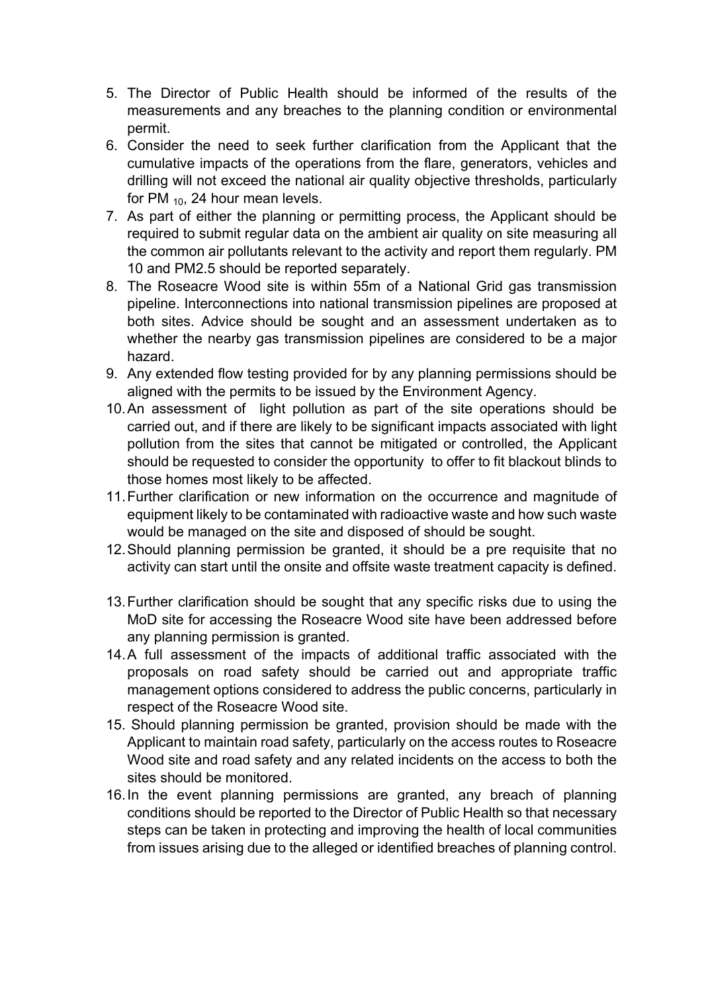- 5. The Director of Public Health should be informed of the results of the measurements and any breaches to the planning condition or environmental permit.
- 6. Consider the need to seek further clarification from the Applicant that the cumulative impacts of the operations from the flare, generators, vehicles and drilling will not exceed the national air quality objective thresholds, particularly for PM  $_{10}$ , 24 hour mean levels.
- 7. As part of either the planning or permitting process, the Applicant should be required to submit regular data on the ambient air quality on site measuring all the common air pollutants relevant to the activity and report them regularly. PM 10 and PM2.5 should be reported separately.
- 8. The Roseacre Wood site is within 55m of a National Grid gas transmission pipeline. Interconnections into national transmission pipelines are proposed at both sites. Advice should be sought and an assessment undertaken as to whether the nearby gas transmission pipelines are considered to be a major hazard.
- 9. Any extended flow testing provided for by any planning permissions should be aligned with the permits to be issued by the Environment Agency.
- 10.An assessment of light pollution as part of the site operations should be carried out, and if there are likely to be significant impacts associated with light pollution from the sites that cannot be mitigated or controlled, the Applicant should be requested to consider the opportunity to offer to fit blackout blinds to those homes most likely to be affected.
- 11.Further clarification or new information on the occurrence and magnitude of equipment likely to be contaminated with radioactive waste and how such waste would be managed on the site and disposed of should be sought.
- 12.Should planning permission be granted, it should be a pre requisite that no activity can start until the onsite and offsite waste treatment capacity is defined.
- 13.Further clarification should be sought that any specific risks due to using the MoD site for accessing the Roseacre Wood site have been addressed before any planning permission is granted.
- 14.A full assessment of the impacts of additional traffic associated with the proposals on road safety should be carried out and appropriate traffic management options considered to address the public concerns, particularly in respect of the Roseacre Wood site.
- 15. Should planning permission be granted, provision should be made with the Applicant to maintain road safety, particularly on the access routes to Roseacre Wood site and road safety and any related incidents on the access to both the sites should be monitored.
- 16.In the event planning permissions are granted, any breach of planning conditions should be reported to the Director of Public Health so that necessary steps can be taken in protecting and improving the health of local communities from issues arising due to the alleged or identified breaches of planning control.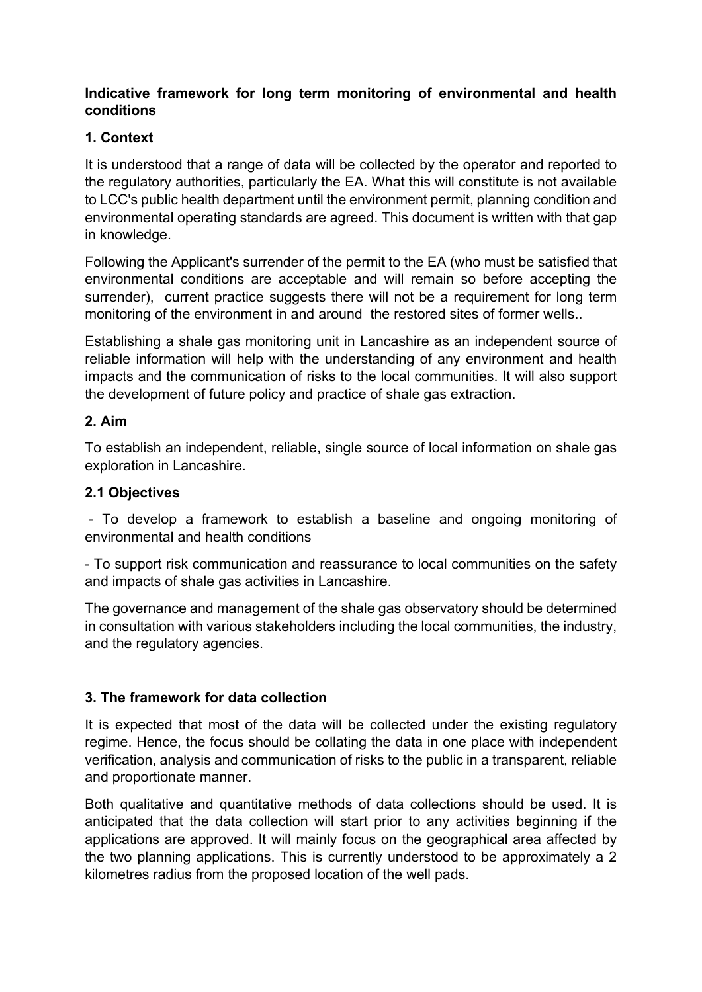#### **Indicative framework for long term monitoring of environmental and health conditions**

#### **1. Context**

It is understood that a range of data will be collected by the operator and reported to the regulatory authorities, particularly the EA. What this will constitute is not available to LCC's public health department until the environment permit, planning condition and environmental operating standards are agreed. This document is written with that gap in knowledge.

Following the Applicant's surrender of the permit to the EA (who must be satisfied that environmental conditions are acceptable and will remain so before accepting the surrender), current practice suggests there will not be a requirement for long term monitoring of the environment in and around the restored sites of former wells..

Establishing a shale gas monitoring unit in Lancashire as an independent source of reliable information will help with the understanding of any environment and health impacts and the communication of risks to the local communities. It will also support the development of future policy and practice of shale gas extraction.

#### **2. Aim**

To establish an independent, reliable, single source of local information on shale gas exploration in Lancashire.

### **2.1 Objectives**

- To develop a framework to establish a baseline and ongoing monitoring of environmental and health conditions

- To support risk communication and reassurance to local communities on the safety and impacts of shale gas activities in Lancashire.

The governance and management of the shale gas observatory should be determined in consultation with various stakeholders including the local communities, the industry, and the regulatory agencies.

# **3. The framework for data collection**

It is expected that most of the data will be collected under the existing regulatory regime. Hence, the focus should be collating the data in one place with independent verification, analysis and communication of risks to the public in a transparent, reliable and proportionate manner.

Both qualitative and quantitative methods of data collections should be used. It is anticipated that the data collection will start prior to any activities beginning if the applications are approved. It will mainly focus on the geographical area affected by the two planning applications. This is currently understood to be approximately a 2 kilometres radius from the proposed location of the well pads.